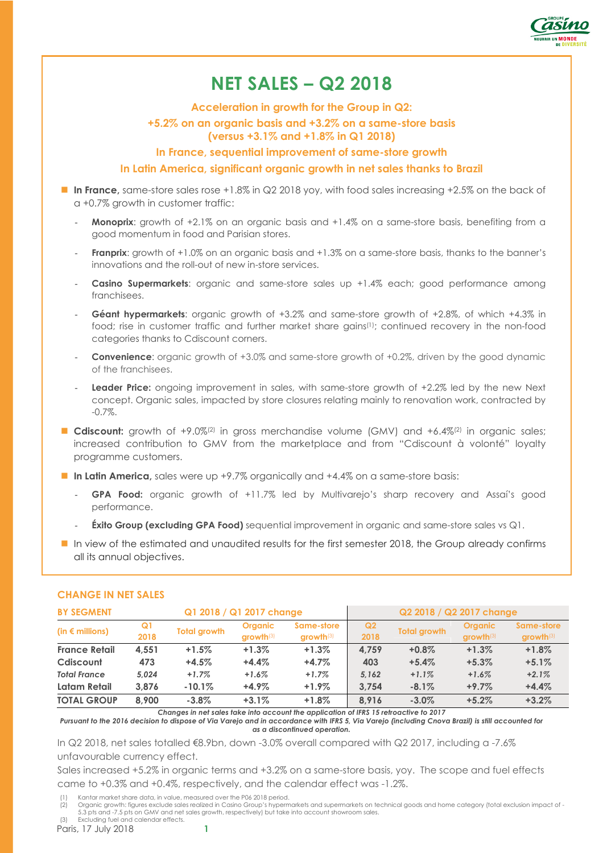

# **NET SALES – Q2 2018**

**Acceleration in growth for the Group in Q2:** 

# **+5.2% on an organic basis and +3.2% on a same-store basis**

**(versus +3.1% and +1.8% in Q1 2018)** 

**In France, sequential improvement of same-store growth** 

### **In Latin America, significant organic growth in net sales thanks to Brazil**

- In France, same-store sales rose +1.8% in Q2 2018 yoy, with food sales increasing +2.5% on the back of a +0.7% growth in customer traffic:
	- **Monoprix**: growth of +2.1% on an organic basis and +1.4% on a same-store basis, benefiting from a good momentum in food and Parisian stores.
	- **Franprix:** growth of +1.0% on an organic basis and +1.3% on a same-store basis, thanks to the banner's innovations and the roll-out of new in-store services.
	- **Casino Supermarkets:** organic and same-store sales up +1.4% each; good performance among franchisees.
	- **Géant hypermarkets**: organic growth of +3.2% and same-store growth of +2.8%, of which +4.3% in food; rise in customer traffic and further market share gains(1); continued recovery in the non-food categories thanks to Cdiscount corners.
	- **Convenience:** organic growth of +3.0% and same-store growth of +0.2%, driven by the good dynamic of the franchisees.
	- Leader Price: ongoing improvement in sales, with same-store growth of +2.2% led by the new Next concept. Organic sales, impacted by store closures relating mainly to renovation work, contracted by -0.7%.
- **Cdiscount:** growth of +9.0%<sup>(2)</sup> in gross merchandise volume (GMV) and +6.4%<sup>(2)</sup> in organic sales; increased contribution to GMV from the marketplace and from "Cdiscount à volonté" loyalty programme customers.
- In Latin America, sales were up +9.7% organically and +4.4% on a same-store basis:
	- GPA Food: organic growth of +11.7% led by Multivarejo's sharp recovery and Assaí's good performance.
	- **Éxito Group (excluding GPA Food)** sequential improvement in organic and same-store sales vs Q1.
- In view of the estimated and unaudited results for the first semester 2018, the Group already confirms all its annual objectives.

| Q1 2018 / Q1 2017 change<br><b>BY SEGMENT</b> |            |                     |                                 | Q2 2018 / Q2 2017 change            |                        |                     |                               |                           |
|-----------------------------------------------|------------|---------------------|---------------------------------|-------------------------------------|------------------------|---------------------|-------------------------------|---------------------------|
| (in $\epsilon$ millions)                      | Q1<br>2018 | <b>Total growth</b> | <b>Organic</b><br>$arrow$ th(3) | Same-store<br>$arrow$ <sup>13</sup> | Q <sub>2</sub><br>2018 | <b>Total growth</b> | <b>Organic</b><br>$growth(3)$ | Same-store<br>$growth(3)$ |
| <b>France Retail</b>                          | 4.551      | $+1.5%$             | $+1.3%$                         | $+1.3%$                             | 4.759                  | $+0.8%$             | $+1.3%$                       | $+1.8%$                   |
| Cdiscount                                     | 473        | $+4.5%$             | $+4.4%$                         | $+4.7%$                             | 403                    | $+5.4%$             | $+5.3%$                       | $+5.1%$                   |
| <b>Total France</b>                           | 5.024      | $+1.7\%$            | $+1.6%$                         | $+1.7%$                             | 5.162                  | $+1.1%$             | $+1.6%$                       | $+2.1%$                   |
| Latam Retail                                  | 3.876      | $-10.1%$            | $+4.9\%$                        | $+1.9\%$                            | 3.754                  | $-8.1\%$            | $+9.7%$                       | $+4.4%$                   |
| <b>TOTAL GROUP</b>                            | 8.900      | $-3.8\%$            | $+3.1%$                         | $+1.8%$                             | 8.916                  | $-3.0\%$            | $+5.2%$                       | $+3.2%$                   |

#### **CHANGE IN NET SALES**

*Changes in net sales take into account the application of IFRS 15 retroactive to 2017* 

*Pursuant to the 2016 decision to dispose of Via Varejo and in accordance with IFRS 5, Via Varejo (including Cnova Brazil) is still accounted for as a discontinued operation.*

In Q2 2018, net sales totalled €8.9bn, down -3.0% overall compared with Q2 2017, including a -7.6% unfavourable currency effect.

Sales increased +5.2% in organic terms and +3.2% on a same-store basis, yoy. The scope and fuel effects came to +0.3% and +0.4%, respectively, and the calendar effect was -1.2%.

Kantar market share data, in value, measured over the P06 2018 period.

Paris, 17 July 2018 **1** 

<sup>(2)</sup> Organic growth: figures exclude sales realized in Casino Group's hypermarkets and supermarkets on technical goods and home category (total exclusion impact of - 5.3 pts and -7.5 pts on GMV and net sales growth, respectively) but take into account showroom sales. (3) Excluding fuel and calendar effects.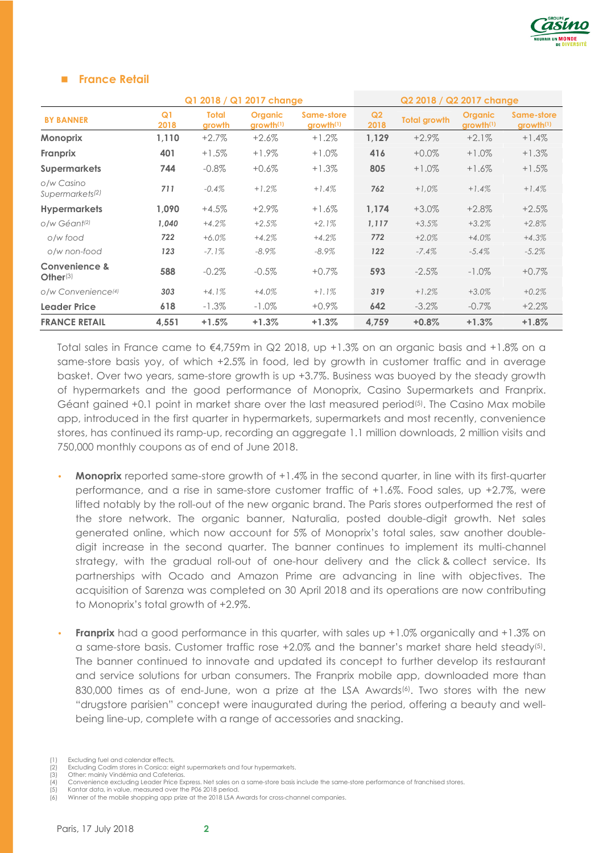

#### **France Retail**

|                                           | Q1 2018 / Q1 2017 change |                        |                                         |                                     | Q2 2018 / Q2 2017 change |                     |                                         |                                     |
|-------------------------------------------|--------------------------|------------------------|-----------------------------------------|-------------------------------------|--------------------------|---------------------|-----------------------------------------|-------------------------------------|
| <b>BY BANNER</b>                          | Q <sub>1</sub><br>2018   | <b>Total</b><br>growth | <b>Organic</b><br>growth <sup>(1)</sup> | Same-store<br>growth <sup>(1)</sup> | Q <sub>2</sub><br>2018   | <b>Total growth</b> | <b>Organic</b><br>growth <sup>(1)</sup> | Same-store<br>growth <sup>(1)</sup> |
| <b>Monoprix</b>                           | 1,110                    | $+2.7%$                | $+2.6%$                                 | $+1.2%$                             | 1,129                    | $+2.9\%$            | $+2.1%$                                 | $+1.4%$                             |
| <b>Franprix</b>                           | 401                      | $+1.5%$                | $+1.9\%$                                | $+1.0\%$                            | 416                      | $+0.0\%$            | $+1.0%$                                 | $+1.3%$                             |
| <b>Supermarkets</b>                       | 744                      | $-0.8\%$               | $+0.6\%$                                | $+1.3\%$                            | 805                      | $+1.0%$             | $+1.6%$                                 | $+1.5%$                             |
| o/w Casino<br>Supermarkets <sup>(2)</sup> | 711                      | $-0.4%$                | $+1.2%$                                 | $+1.4%$                             | 762                      | $+1.0%$             | $+1.4%$                                 | $+1.4%$                             |
| <b>Hypermarkets</b>                       | 1.090                    | $+4.5%$                | $+2.9\%$                                | $+1.6\%$                            | 1,174                    | $+3.0%$             | $+2.8\%$                                | $+2.5%$                             |
| o/w Géant <sup>(2)</sup>                  | 1,040                    | $+4.2%$                | $+2.5%$                                 | $+2.1%$                             | 1,117                    | $+3.5%$             | $+3.2%$                                 | $+2.8%$                             |
| o/w food                                  | 722                      | $+6.0\%$               | $+4.2%$                                 | $+4.2%$                             | 772                      | $+2.0%$             | $+4.0%$                                 | $+4.3%$                             |
| o/w non-food                              | 123                      | $-7.1%$                | $-8.9\%$                                | $-8.9\%$                            | 122                      | $-7.4%$             | $-5.4%$                                 | $-5.2\%$                            |
| Convenience &<br>$Other^{(3)}$            | 588                      | $-0.2%$                | $-0.5\%$                                | $+0.7\%$                            | 593                      | $-2.5%$             | $-1.0\%$                                | $+0.7%$                             |
| o/w Convenience <sup>(4)</sup>            | 303                      | $+4.1%$                | $+4.0%$                                 | $+1.1%$                             | 319                      | $+1.2%$             | $+3.0%$                                 | $+0.2%$                             |
| <b>Leader Price</b>                       | 618                      | $-1.3\%$               | $-1.0\%$                                | $+0.9\%$                            | 642                      | $-3.2\%$            | $-0.7\%$                                | $+2.2%$                             |
| <b>FRANCE RETAIL</b>                      | 4,551                    | $+1.5%$                | $+1.3%$                                 | $+1.3%$                             | 4,759                    | $+0.8%$             | $+1.3%$                                 | $+1.8%$                             |

Total sales in France came to  $\epsilon$ 4,759m in Q2 2018, up +1.3% on an organic basis and +1.8% on a same-store basis yoy, of which +2.5% in food, led by growth in customer traffic and in average basket. Over two years, same-store growth is up +3.7%. Business was buoyed by the steady growth of hypermarkets and the good performance of Monoprix, Casino Supermarkets and Franprix. Géant gained +0.1 point in market share over the last measured period<sup>(5)</sup>. The Casino Max mobile app, introduced in the first quarter in hypermarkets, supermarkets and most recently, convenience stores, has continued its ramp-up, recording an aggregate 1.1 million downloads, 2 million visits and 750,000 monthly coupons as of end of June 2018.

- **Monoprix** reported same-store growth of +1.4% in the second quarter, in line with its first-quarter performance, and a rise in same-store customer traffic of +1.6%. Food sales, up +2.7%, were lifted notably by the roll-out of the new organic brand. The Paris stores outperformed the rest of the store network. The organic banner, Naturalia, posted double-digit growth. Net sales generated online, which now account for 5% of Monoprix's total sales, saw another doubledigit increase in the second quarter. The banner continues to implement its multi-channel strategy, with the gradual roll-out of one-hour delivery and the click & collect service. Its partnerships with Ocado and Amazon Prime are advancing in line with objectives. The acquisition of Sarenza was completed on 30 April 2018 and its operations are now contributing to Monoprix's total growth of +2.9%.
- **Franprix** had a good performance in this quarter, with sales up +1.0% organically and +1.3% on a same-store basis. Customer traffic rose  $+2.0\%$  and the banner's market share held steady<sup>(5)</sup>. The banner continued to innovate and updated its concept to further develop its restaurant and service solutions for urban consumers. The Franprix mobile app, downloaded more than 830,000 times as of end-June, won a prize at the LSA Awards<sup>(6)</sup>. Two stores with the new "drugstore parisien" concept were inaugurated during the period, offering a beauty and wellbeing line-up, complete with a range of accessories and snacking.
- 
- (1) Excluding fuel and calendar effects.<br>
(2) Excluding Codim stores in Corsica: e<br>
(3) Other: mainly Vindémia and Cafete Excluding Codim stores in Corsica: eight supermarkets and four hypermarkets.
- (3) Other: mainly Vindémia and Cafeterias.<br>(4) Convenience excluding Leader Price Ex (4) Convenience excluding Leader Price Express. Net sales on a same-store basis include the same-store performance of franchised stores.<br>(5) Kantar data, in value, measured over the P06 2018 period.<br>(6) Winner of the mobil

Winner of the mobile shopping app prize at the 2018 LSA Awards for cross-channel companies.

Kantar data, in value, measured over the P06 2018 period.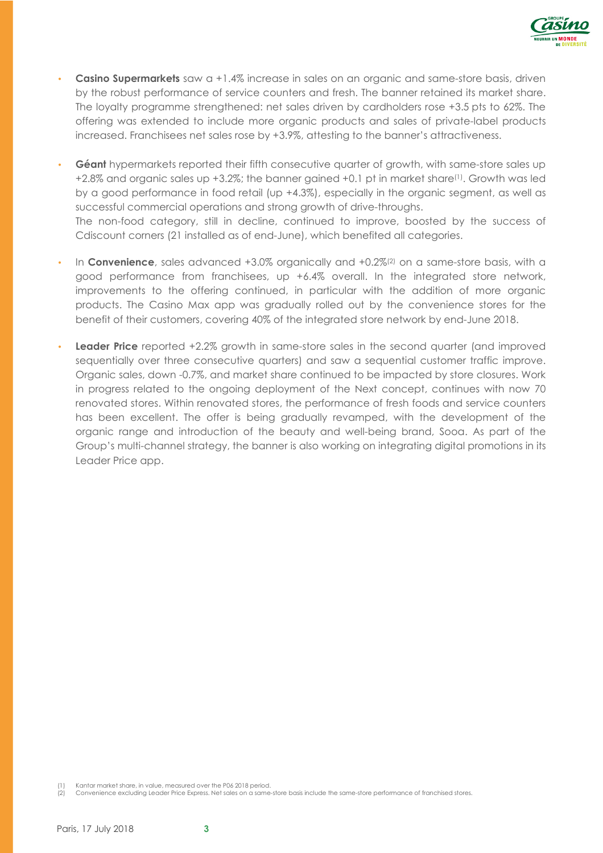

- **Casino Supermarkets** saw a +1.4% increase in sales on an organic and same-store basis, driven by the robust performance of service counters and fresh. The banner retained its market share. The loyalty programme strengthened: net sales driven by cardholders rose +3.5 pts to 62%. The offering was extended to include more organic products and sales of private-label products increased. Franchisees net sales rose by +3.9%, attesting to the banner's attractiveness.
- **Géant** hypermarkets reported their fifth consecutive quarter of growth, with same-store sales up +2.8% and organic sales up +3.2%; the banner gained +0.1 pt in market share(1). Growth was led by a good performance in food retail (up +4.3%), especially in the organic segment, as well as successful commercial operations and strong growth of drive-throughs.

The non-food category, still in decline, continued to improve, boosted by the success of Cdiscount corners (21 installed as of end-June), which benefited all categories.

- In **Convenience**, sales advanced +3.0% organically and +0.2%(2) on a same-store basis, with a good performance from franchisees, up +6.4% overall. In the integrated store network, improvements to the offering continued, in particular with the addition of more organic products. The Casino Max app was gradually rolled out by the convenience stores for the benefit of their customers, covering 40% of the integrated store network by end-June 2018.
- **Leader Price** reported +2.2% growth in same-store sales in the second quarter (and improved sequentially over three consecutive quarters) and saw a sequential customer traffic improve. Organic sales, down -0.7%, and market share continued to be impacted by store closures. Work in progress related to the ongoing deployment of the Next concept, continues with now 70 renovated stores. Within renovated stores, the performance of fresh foods and service counters has been excellent. The offer is being gradually revamped, with the development of the organic range and introduction of the beauty and well-being brand, Sooa. As part of the Group's multi-channel strategy, the banner is also working on integrating digital promotions in its Leader Price app.

(1) Kantar market share, in value, measured over the P06 2018 period.

(2) Convenience excluding Leader Price Express. Net sales on a same-store basis include the same-store performance of franchised stores.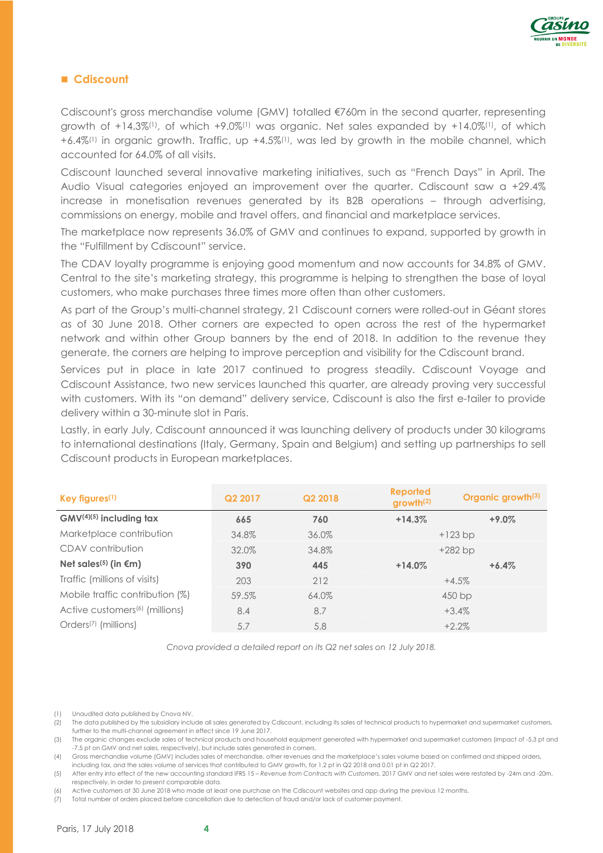

### **Cdiscount**

Cdiscount's gross merchandise volume (GMV) totalled €760m in the second quarter, representing growth of +14.3%(1), of which +9.0%(1) was organic. Net sales expanded by +14.0%(1), of which +6.4%(1) in organic growth. Traffic, up +4.5%(1), was led by growth in the mobile channel, which accounted for 64.0% of all visits.

Cdiscount launched several innovative marketing initiatives, such as "French Days" in April. The Audio Visual categories enjoyed an improvement over the quarter. Cdiscount saw a +29.4% increase in monetisation revenues generated by its B2B operations – through advertising, commissions on energy, mobile and travel offers, and financial and marketplace services.

The marketplace now represents 36.0% of GMV and continues to expand, supported by growth in the "Fulfillment by Cdiscount" service.

The CDAV loyalty programme is enjoying good momentum and now accounts for 34.8% of GMV. Central to the site's marketing strategy, this programme is helping to strengthen the base of loyal customers, who make purchases three times more often than other customers.

As part of the Group's multi-channel strategy, 21 Cdiscount corners were rolled-out in Géant stores as of 30 June 2018. Other corners are expected to open across the rest of the hypermarket network and within other Group banners by the end of 2018. In addition to the revenue they generate, the corners are helping to improve perception and visibility for the Cdiscount brand.

Services put in place in late 2017 continued to progress steadily. Cdiscount Voyage and Cdiscount Assistance, two new services launched this quarter, are already proving very successful with customers. With its "on demand" delivery service, Cdiscount is also the first e-tailer to provide delivery within a 30-minute slot in Paris.

Lastly, in early July, Cdiscount announced it was launching delivery of products under 30 kilograms to international destinations (Italy, Germany, Spain and Belgium) and setting up partnerships to sell Cdiscount products in European marketplaces.

| Key figures $(1)$                          | Q <sub>2</sub> 2017 | Q2 2018 | <b>Reported</b><br>growth <sup>(2)</sup> | Organic growth <sup>(3)</sup> |
|--------------------------------------------|---------------------|---------|------------------------------------------|-------------------------------|
| $GMV^{(4)(5)}$ including tax               | 665                 | 760     | $+14.3%$                                 | $+9.0\%$                      |
| Marketplace contribution                   | 34.8%               | 36.0%   |                                          | $+123$ bp                     |
| CDAV contribution                          | 32.0%               | 34.8%   |                                          | $+282$ bp                     |
| Net sales <sup>(5)</sup> (in $\epsilon$ m) | 390                 | 445     | $+14.0%$                                 | $+6.4%$                       |
| Traffic (millions of visits)               | 203                 | 212     |                                          | $+4.5%$                       |
| Mobile traffic contribution (%)            | 59.5%               | 64.0%   |                                          | 450 bp                        |
| Active customers <sup>(6)</sup> (millions) | 8.4                 | 8.7     |                                          | $+3.4%$                       |
| Orders <sup>(7)</sup> (millions)           | 5.7                 | 5.8     |                                          | $+2.2%$                       |

*Cnova provided a detailed report on its Q2 net sales on 12 July 2018.*

(6) Active customers at 30 June 2018 who made at least one purchase on the Cdiscount websites and app during the previous 12 months.

(7) Total number of orders placed before cancellation due to detection of fraud and/or lack of customer payment.



<sup>(1)</sup> Unaudited data published by Cnova NV.

<sup>(2)</sup> The data published by the subsidiary include all sales generated by Cdiscount, including its sales of technical products to hypermarket and supermarket customers, further to the multi-channel agreement in effect since 19 June 2017.

<sup>(3)</sup> The organic changes exclude sales of technical products and household equipment generated with hypermarket and supermarket customers (impact of -5.3 pt and -7.5 pt on GMV and net sales, respectively), but include sales generated in corners.

<sup>(4)</sup> Gross merchandise volume (GMV) includes sales of merchandise, other revenues and the marketplace's sales volume based on confirmed and shipped orders, including tax, and the sales volume of services that contributed to GMV growth, for 1.2 pt in Q2 2018 and 0.01 pt in Q2 2017.

<sup>(5)</sup> After entry into effect of the new accounting standard IFRS 15 – *Revenue from Contracts with Customers*, 2017 GMV and net sales were restated by -24m and -20m, respectively, in order to present comparable data.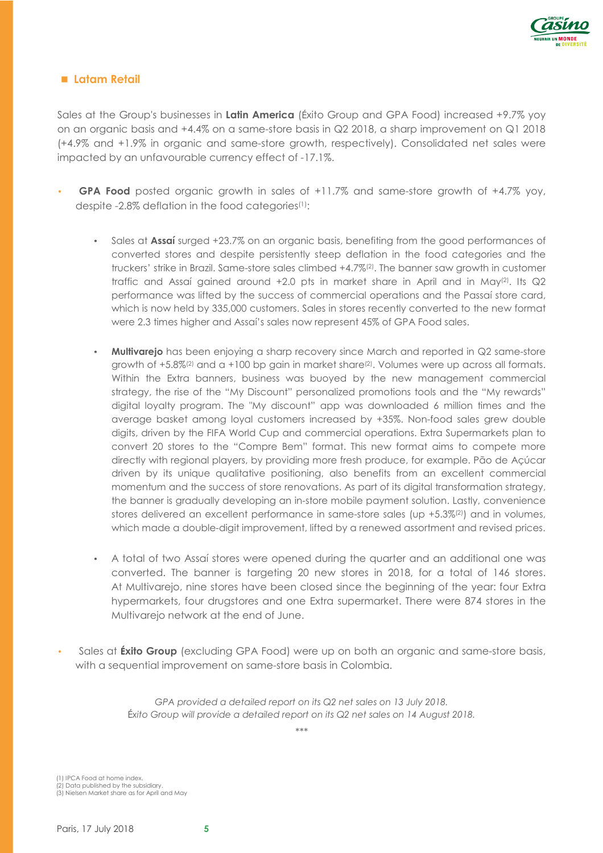

#### **Latam Retail**

Sales at the Group's businesses in **Latin America** (Éxito Group and GPA Food) increased +9.7% yoy on an organic basis and +4.4% on a same-store basis in Q2 2018, a sharp improvement on Q1 2018 (+4.9% and +1.9% in organic and same-store growth, respectively). Consolidated net sales were impacted by an unfavourable currency effect of -17.1%.

- **GPA Food** posted organic growth in sales of +11.7% and same-store growth of +4.7% yoy, despite -2.8% deflation in the food categories(1):
	- Sales at **Assaí** surged +23.7% on an organic basis, benefiting from the good performances of converted stores and despite persistently steep deflation in the food categories and the truckers' strike in Brazil. Same-store sales climbed +4.7%(2). The banner saw growth in customer traffic and Assaí gained around  $+2.0$  pts in market share in April and in May<sup>(2)</sup>. Its  $\mathbb{Q}2$ performance was lifted by the success of commercial operations and the Passaí store card, which is now held by 335,000 customers. Sales in stores recently converted to the new format were 2.3 times higher and Assaí's sales now represent 45% of GPA Food sales.
	- **Multivarejo** has been enjoying a sharp recovery since March and reported in Q2 same-store growth of +5.8%<sup>(2)</sup> and a +100 bp gain in market share<sup>(2)</sup>. Volumes were up across all formats. Within the Extra banners, business was buoyed by the new management commercial strategy, the rise of the "My Discount" personalized promotions tools and the "My rewards" digital loyalty program. The "My discount" app was downloaded 6 million times and the average basket among loyal customers increased by +35%. Non-food sales grew double digits, driven by the FIFA World Cup and commercial operations. Extra Supermarkets plan to convert 20 stores to the "Compre Bem" format. This new format aims to compete more directly with regional players, by providing more fresh produce, for example. Pão de Açúcar driven by its unique qualitative positioning, also benefits from an excellent commercial momentum and the success of store renovations. As part of its digital transformation strategy, the banner is gradually developing an in-store mobile payment solution. Lastly, convenience stores delivered an excellent performance in same-store sales (up +5.3%<sup>(2)</sup>) and in volumes, which made a double-digit improvement, lifted by a renewed assortment and revised prices.
	- A total of two Assaí stores were opened during the quarter and an additional one was converted. The banner is targeting 20 new stores in 2018, for a total of 146 stores. At Multivarejo, nine stores have been closed since the beginning of the year: four Extra hypermarkets, four drugstores and one Extra supermarket. There were 874 stores in the Multivarejo network at the end of June.
- Sales at **Éxito Group** (excluding GPA Food) were up on both an organic and same-store basis, with a sequential improvement on same-store basis in Colombia.

GPA provided a detailed report on its Q2 net sales on 13 July 2018. É*xito Group will provide a detailed report on its Q2 net sales on 14 August 2018.* 

*\*\*\** 

(1) IPCA Food at home index. (2) Data published by the subsidiary. (3) Nielsen Market share as for April and May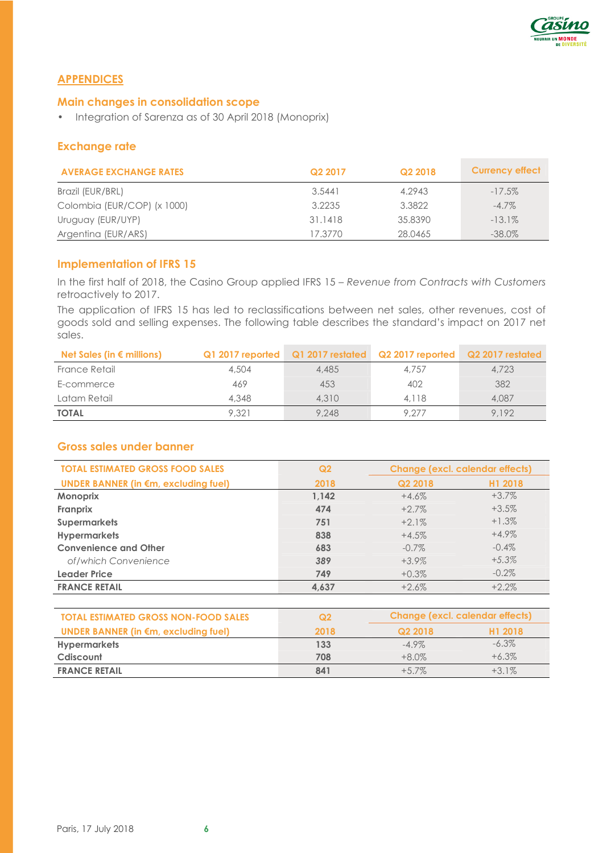

## **APPENDICES**

## **Main changes in consolidation scope**

• Integration of Sarenza as of 30 April 2018 (Monoprix)

# **Exchange rate**

| <b>AVERAGE EXCHANGE RATES</b> | Q2 2017 | Q2 2018 | <b>Currency effect</b> |
|-------------------------------|---------|---------|------------------------|
| Brazil (EUR/BRL)              | 3.5441  | 4.2943  | $-17.5\%$              |
| Colombia (EUR/COP) (x 1000)   | 3.2235  | 3.3822  | $-4.7\%$               |
| Uruguay (EUR/UYP)             | 31.1418 | 35.8390 | $-13.1\%$              |
| Argentina (EUR/ARS)           | 17.3770 | 28.0465 | $-38.0\%$              |

## **Implementation of IFRS 15**

In the first half of 2018, the Casino Group applied IFRS 15 – *Revenue from Contracts with Customers* retroactively to 2017.

The application of IFRS 15 has led to reclassifications between net sales, other revenues, cost of goods sold and selling expenses. The following table describes the standard's impact on 2017 net sales.

| Net Sales (in $\epsilon$ millions) |       | Q1 2017 reported Q1 2017 restated Q2 2017 reported |       | Q2 2017 restated |
|------------------------------------|-------|----------------------------------------------------|-------|------------------|
| France Retail                      | 4,504 | 4,485                                              | 4,757 | 4,723            |
| E-commerce                         | 469   | 453                                                | 402   | 382              |
| Latam Retail                       | 4,348 | 4,310                                              | 4.118 | 4,087            |
| <b>TOTAL</b>                       | 9.321 | 9,248                                              | 9.277 | 9.192            |

## **Gross sales under banner**

| <b>TOTAL ESTIMATED GROSS FOOD SALES</b>     | Q <sub>2</sub> | <b>Change (excl. calendar effects)</b> |          |  |
|---------------------------------------------|----------------|----------------------------------------|----------|--|
| <b>UNDER BANNER (in €m, excluding fuel)</b> | 2018           | Q2 2018                                | H1 2018  |  |
| Monoprix                                    | 1.142          | $+4.6%$                                | $+3.7\%$ |  |
| Franprix                                    | 474            | $+2.7%$                                | $+3.5%$  |  |
| <b>Supermarkets</b>                         | 751            | $+2.1%$                                | $+1.3\%$ |  |
| <b>Hypermarkets</b>                         | 838            | $+4.5%$                                | $+4.9\%$ |  |
| <b>Convenience and Other</b>                | 683            | $-0.7\%$                               | $-0.4\%$ |  |
| of/which Convenience                        | 389            | $+3.9\%$                               | $+5.3%$  |  |
| <b>Leader Price</b>                         | 749            | $+0.3\%$                               | $-0.2\%$ |  |
| <b>FRANCE RETAIL</b>                        | 4,637          | $+2.6%$                                | $+2.2%$  |  |

| <b>TOTAL ESTIMATED GROSS NON-FOOD SALES</b>    | Q2   | Change (excl. calendar effects) |                     |  |
|------------------------------------------------|------|---------------------------------|---------------------|--|
| UNDER BANNER (in $\epsilon$ m, excluding fuel) | 2018 | Q2 2018                         | H <sub>1</sub> 2018 |  |
| <b>Hypermarkets</b>                            | 133  | $-4.9\%$                        | $-6.3\%$            |  |
| Cdiscount                                      | 708  | $+8.0\%$                        | $+6.3%$             |  |
| <b>FRANCE RETAIL</b>                           | 841  | $+5.7\%$                        | $+3.1\%$            |  |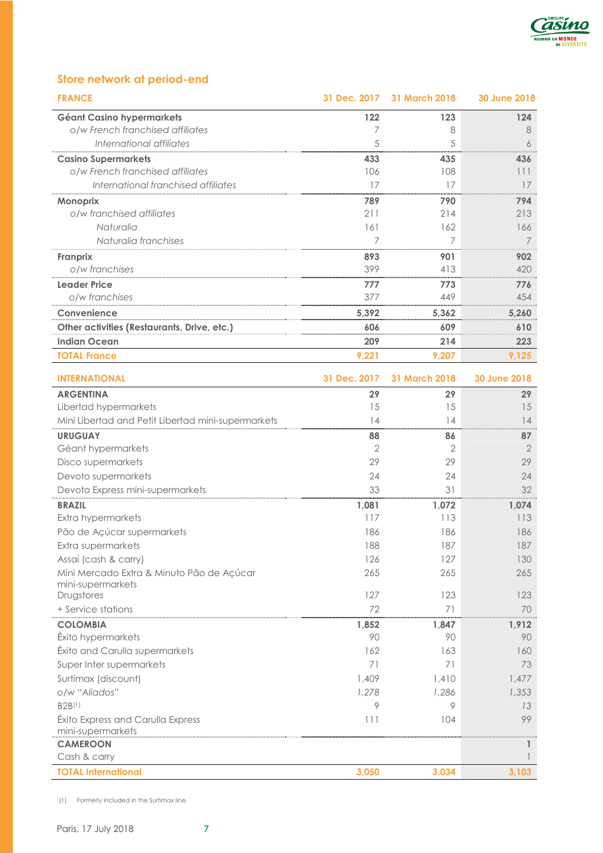

# **Store network at period-end**

| <b>FRANCE</b>                                                  | 31 Dec. 2017 | 31 March 2018  | <b>30 June 2018</b> |
|----------------------------------------------------------------|--------------|----------------|---------------------|
| <b>Géant Casino hypermarkets</b>                               | 122          | 123            | 124                 |
| o/w French franchised affiliates                               | 7            | 8              | 8                   |
| International affiliates                                       | 5            | 5              | 6                   |
| <b>Casino Supermarkets</b>                                     | 433          | 435            | 436                 |
| o/w French franchised affiliates                               | 106          | 108            | 111                 |
| International franchised affiliates                            | 17           | 17             | 17                  |
| Monoprix                                                       | 789          | 790            | 794                 |
| o/w franchised affiliates                                      | 211          | 214            | 213                 |
| Naturalia                                                      | 161          | 162            | 166                 |
| Naturalia franchises                                           | 7            | 7              | $\overline{7}$      |
| Franprix                                                       | 893          | 901            | 902                 |
| o/w franchises                                                 | 399          | 413            | 420                 |
| <b>Leader Price</b>                                            | 777          | 773            | 776                 |
| o/w franchises                                                 | 377          | 449            | 454                 |
| Convenience                                                    | 5,392        | 5,362          | 5,260               |
| Other activities (Restaurants, Drive, etc.)                    | 606          | 609            | 610                 |
| <b>Indian Ocean</b>                                            | 209          | 214            | 223                 |
| <b>TOTAL France</b>                                            | 9,221        | 9,207          | 9,125               |
|                                                                |              |                |                     |
| <b>INTERNATIONAL</b>                                           | 31 Dec. 2017 | 31 March 2018  | <b>30 June 2018</b> |
| <b>ARGENTINA</b>                                               | 29           | 29             | 29                  |
| Libertad hypermarkets                                          | 15           | 15             | 15                  |
| Mini Libertad and Petit Libertad mini-supermarkets             | 14           | 14             | 14                  |
| <b>URUGUAY</b>                                                 | 88           | 86             | 87                  |
| Géant hypermarkets                                             | 2            | $\overline{2}$ | $\mathbf{2}$        |
| Disco supermarkets                                             | 29           | 29             | 29                  |
| Devoto supermarkets                                            | 24           | 24             | 24                  |
| Devoto Express mini-supermarkets                               | 33           | 31             | 32                  |
| <b>BRAZIL</b>                                                  | 1,081        | 1,072          | 1,074               |
| Extra hypermarkets                                             | 117          | 113            | 113                 |
| Pão de Açúcar supermarkets                                     | 186          | 186            | 186                 |
| Extra supermarkets                                             | 188          | 187            | 187                 |
| Assaí (cash & carry)                                           | 126          | 127            | 130                 |
| Mini Mercado Extra & Minuto Pão de Açúcar<br>mini-supermarkets | 265          | 265            | 265                 |
| Drugstores                                                     | 127          | 123            | 123                 |
| + Service stations                                             | 72           | 71             | 70                  |
| <b>COLOMBIA</b>                                                | 1,852        | 1,847          | 1,912               |
| Éxito hypermarkets                                             | 90           | 90             | 90                  |
| Éxito and Carulla supermarkets                                 | 162          | 163            | 160                 |
| Super Inter supermarkets                                       | 71           | 71             | 73                  |
| Surtimax (discount)                                            | 1,409        | 1,410          | 1,477               |
| o/w "Aliados"                                                  | 1,278        | 1,286          | 1,353               |
| B2B(1)                                                         | 9            | 9              | 13                  |
| Éxito Express and Carulla Express                              | 111          | 104            | 99                  |
| mini-supermarkets                                              |              |                |                     |
| <b>CAMEROON</b>                                                |              |                | $\mathbf{1}$        |
| Cash & carry                                                   |              |                |                     |
| <b>TOTAL International</b>                                     | 3,050        | 3,034          | 3,103               |

(1) Formerly included in the Surtimax line.